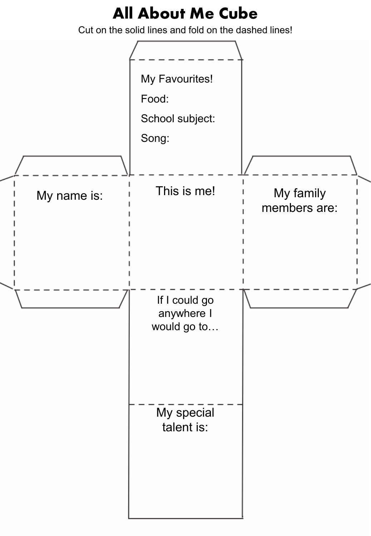## **All About Me Cube**

Cut on the solid lines and fold on the dashed lines!

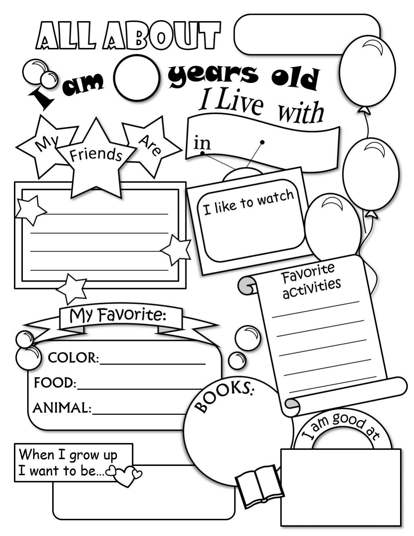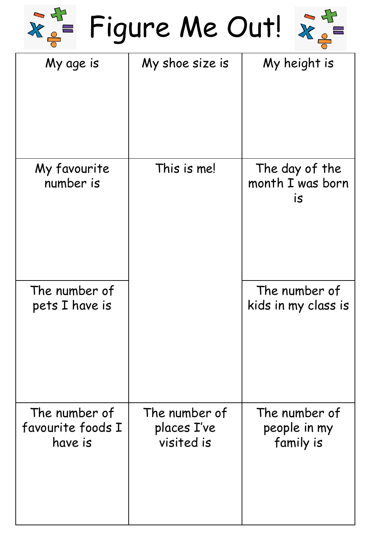Figure Me Out!



| My age is                                     | My shoe size is                            | My height is                               |
|-----------------------------------------------|--------------------------------------------|--------------------------------------------|
| My favourite<br>number is                     | This is me!                                | The day of the<br>month I was born<br>IS   |
| The number of<br>pets I have is               |                                            | The number of<br>kids in my class is       |
| The number of<br>favourite foods I<br>have is | The number of<br>places I've<br>visited is | The number of<br>people in my<br>family is |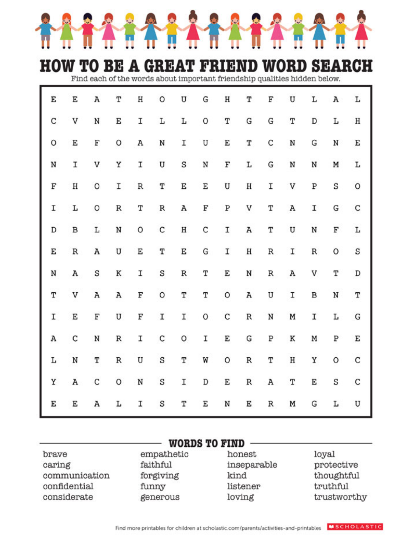

## **HOW TO BE A GREAT FRIEND WORD SEARCH**

Find each of the words about important friendship qualities hidden below.

| E | E            | Α | T | Η | 0 | U | G | Η | T                | F | U | L                | Α | Г |
|---|--------------|---|---|---|---|---|---|---|------------------|---|---|------------------|---|---|
| C | V            | N | E | I | L | L | 0 | Т | G                | G | T | D                | L | Η |
| 0 | E            | F | 0 | А | N | Ι | U | E | Т                | С | N | G                | N | E |
| N | I            | V | Υ | I | U | S | N | F | L                | G | N | N                | Μ | L |
| F | Η            | 0 | I | R | Т | E | Ε | U | Н                | Ι | V | Ρ                | S | 0 |
| I | L            | 0 | R | T | R | Α | F | Ρ | V                | Т | Α | I                | G | С |
| D | B            | L | N | О | C | Н | C | I | Α                | Т | U | N                | F | L |
| E | $\, {\bf R}$ | A | U | E | T | E | G | I | $\rm H$          | R | I | $\, {\mathbb R}$ | 0 | S |
| N | Α            | S | Κ | I | S | R | Т | E | N                | R | Α | V                | Т | D |
| T | V            | Α | Α | F | O | T | T | O | Α                | U | I | B                | N | T |
| I | E            | F | U | F | I | I | O | С | $\, {\mathbb R}$ | N | M | I                | Г | G |
| Α | C            | N | R | I | C | О | I | E | G                | Ρ | Κ | Μ                | Ρ | E |
| L | N            | Т | R | U | S | T | W | 0 | R                | Т | Η | Υ                | 0 | C |
| Υ | Α            | C | 0 | N | S | I | D | E | $\, {\bf R}$     | Α | T | E                | S | C |
| E | E            | Α | L | I | S | Τ | Ε | N | E                | R | M | G                | L | U |

| <b>WORDS TO FIND</b>  |            |             |             |  |  |  |
|-----------------------|------------|-------------|-------------|--|--|--|
| brave                 | empathetic | honest      | loyal       |  |  |  |
| caring                | faithful   | inseparable | protective  |  |  |  |
| communication         | forgiving  | kind        | thoughtful  |  |  |  |
| confidential<br>funny |            | listener    | truthful    |  |  |  |
| considerate           | generous   | loving      | trustworthy |  |  |  |